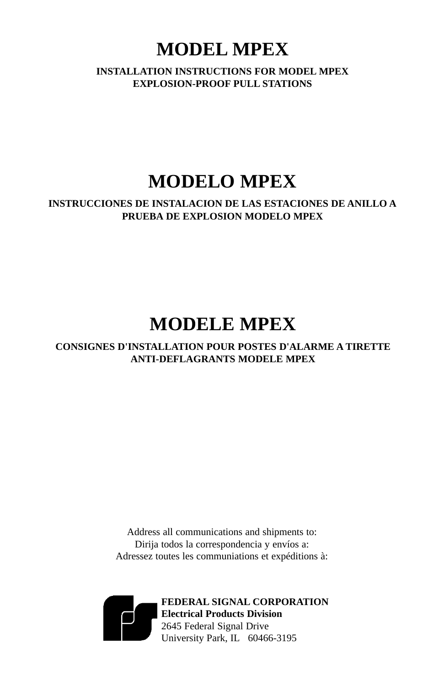# **MODEL MPEX**

**INSTALLATION INSTRUCTIONS FOR MODEL MPEX EXPLOSION-PROOF PULL STATIONS**

# **MODELO MPEX**

**INSTRUCCIONES DE INSTALACION DE LAS ESTACIONES DE ANILLO A PRUEBA DE EXPLOSION MODELO MPEX**

# **MODELE MPEX**

**CONSIGNES D'INSTALLATION POUR POSTES D'ALARME A TIRETTE ANTI-DEFLAGRANTS MODELE MPEX**

> Address all communications and shipments to: Dirija todos la correspondencia y envíos a: Adressez toutes les communiations et expéditions à:



**FEDERAL SIGNAL CORPORATION Electrical Products Division** 2645 Federal Signal Drive University Park, IL 60466-3195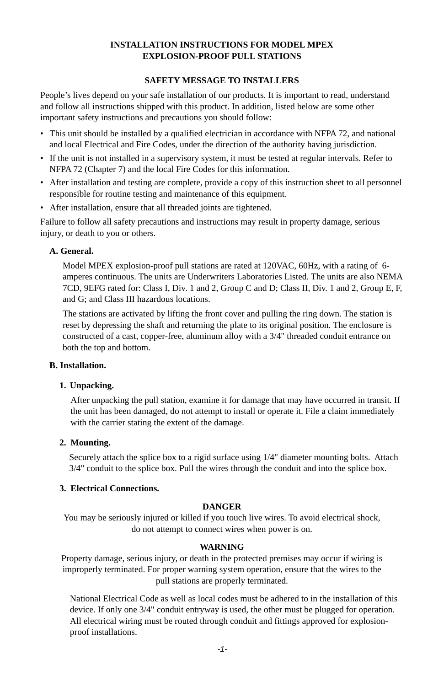## **INSTALLATION INSTRUCTIONS FOR MODEL MPEX EXPLOSION-PROOF PULL STATIONS**

## **SAFETY MESSAGE TO INSTALLERS**

People's lives depend on your safe installation of our products. It is important to read, understand and follow all instructions shipped with this product. In addition, listed below are some other important safety instructions and precautions you should follow:

- This unit should be installed by a qualified electrician in accordance with NFPA 72, and national and local Electrical and Fire Codes, under the direction of the authority having jurisdiction.
- If the unit is not installed in a supervisory system, it must be tested at regular intervals. Refer to NFPA 72 (Chapter 7) and the local Fire Codes for this information.
- After installation and testing are complete, provide a copy of this instruction sheet to all personnel responsible for routine testing and maintenance of this equipment.
- After installation, ensure that all threaded joints are tightened.

Failure to follow all safety precautions and instructions may result in property damage, serious injury, or death to you or others.

## **A. General.**

Model MPEX explosion-proof pull stations are rated at 120VAC, 60Hz, with a rating of 6 amperes continuous. The units are Underwriters Laboratories Listed. The units are also NEMA 7CD, 9EFG rated for: Class I, Div. 1 and 2, Group C and D; Class II, Div. 1 and 2, Group E, F, and G; and Class III hazardous locations.

The stations are activated by lifting the front cover and pulling the ring down. The station is reset by depressing the shaft and returning the plate to its original position. The enclosure is constructed of a cast, copper-free, aluminum alloy with a 3/4" threaded conduit entrance on both the top and bottom.

## **B. Installation.**

## **1. Unpacking.**

After unpacking the pull station, examine it for damage that may have occurred in transit. If the unit has been damaged, do not attempt to install or operate it. File a claim immediately with the carrier stating the extent of the damage.

## **2. Mounting.**

Securely attach the splice box to a rigid surface using 1/4" diameter mounting bolts. Attach 3/4" conduit to the splice box. Pull the wires through the conduit and into the splice box.

## **3. Electrical Connections.**

## **DANGER**

You may be seriously injured or killed if you touch live wires. To avoid electrical shock, do not attempt to connect wires when power is on.

## **WARNING**

Property damage, serious injury, or death in the protected premises may occur if wiring is improperly terminated. For proper warning system operation, ensure that the wires to the pull stations are properly terminated.

National Electrical Code as well as local codes must be adhered to in the installation of this device. If only one 3/4" conduit entryway is used, the other must be plugged for operation. All electrical wiring must be routed through conduit and fittings approved for explosionproof installations.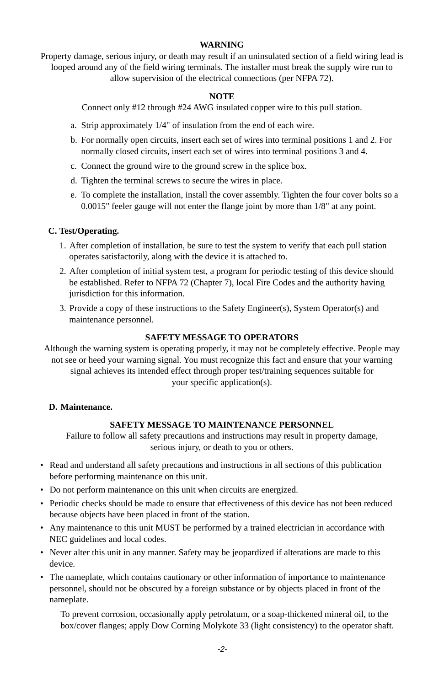## **WARNING**

Property damage, serious injury, or death may result if an uninsulated section of a field wiring lead is looped around any of the field wiring terminals. The installer must break the supply wire run to allow supervision of the electrical connections (per NFPA 72).

## **NOTE**

Connect only #12 through #24 AWG insulated copper wire to this pull station.

- a. Strip approximately 1/4" of insulation from the end of each wire.
- b. For normally open circuits, insert each set of wires into terminal positions 1 and 2. For normally closed circuits, insert each set of wires into terminal positions 3 and 4.
- c. Connect the ground wire to the ground screw in the splice box.
- d. Tighten the terminal screws to secure the wires in place.
- e. To complete the installation, install the cover assembly. Tighten the four cover bolts so a 0.0015" feeler gauge will not enter the flange joint by more than 1/8" at any point.

## **C. Test/Operating.**

- 1. After completion of installation, be sure to test the system to verify that each pull station operates satisfactorily, along with the device it is attached to.
- 2. After completion of initial system test, a program for periodic testing of this device should be established. Refer to NFPA 72 (Chapter 7), local Fire Codes and the authority having jurisdiction for this information.
- 3. Provide a copy of these instructions to the Safety Engineer(s), System Operator(s) and maintenance personnel.

## **SAFETY MESSAGE TO OPERATORS**

Although the warning system is operating properly, it may not be completely effective. People may not see or heed your warning signal. You must recognize this fact and ensure that your warning signal achieves its intended effect through proper test/training sequences suitable for your specific application(s).

## **D. Maintenance.**

## **SAFETY MESSAGE TO MAINTENANCE PERSONNEL**

Failure to follow all safety precautions and instructions may result in property damage, serious injury, or death to you or others.

- Read and understand all safety precautions and instructions in all sections of this publication before performing maintenance on this unit.
- Do not perform maintenance on this unit when circuits are energized.
- Periodic checks should be made to ensure that effectiveness of this device has not been reduced because objects have been placed in front of the station.
- Any maintenance to this unit MUST be performed by a trained electrician in accordance with NEC guidelines and local codes.
- Never alter this unit in any manner. Safety may be jeopardized if alterations are made to this device.
- The nameplate, which contains cautionary or other information of importance to maintenance personnel, should not be obscured by a foreign substance or by objects placed in front of the nameplate.

To prevent corrosion, occasionally apply petrolatum, or a soap-thickened mineral oil, to the box/cover flanges; apply Dow Corning Molykote 33 (light consistency) to the operator shaft.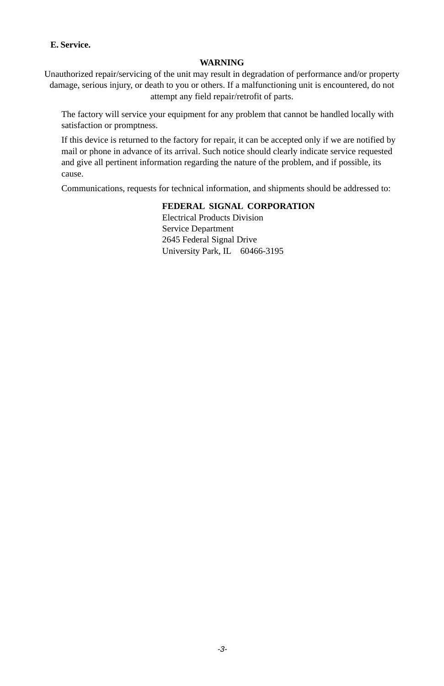## **E. Service.**

## **WARNING**

Unauthorized repair/servicing of the unit may result in degradation of performance and/or property damage, serious injury, or death to you or others. If a malfunctioning unit is encountered, do not attempt any field repair/retrofit of parts.

The factory will service your equipment for any problem that cannot be handled locally with satisfaction or promptness.

If this device is returned to the factory for repair, it can be accepted only if we are notified by mail or phone in advance of its arrival. Such notice should clearly indicate service requested and give all pertinent information regarding the nature of the problem, and if possible, its cause.

Communications, requests for technical information, and shipments should be addressed to:

## **FEDERAL SIGNAL CORPORATION**

Electrical Products Division Service Department 2645 Federal Signal Drive University Park, IL 60466-3195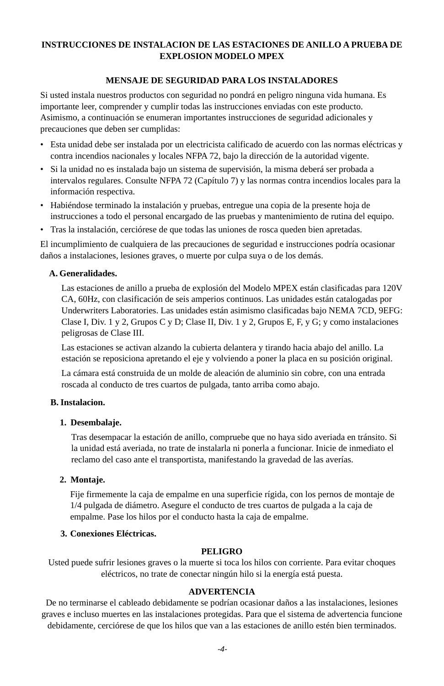## **INSTRUCCIONES DE INSTALACION DE LAS ESTACIONES DE ANILLO A PRUEBA DE EXPLOSION MODELO MPEX**

## **MENSAJE DE SEGURIDAD PARA LOS INSTALADORES**

Si usted instala nuestros productos con seguridad no pondrá en peligro ninguna vida humana. Es importante leer, comprender y cumplir todas las instrucciones enviadas con este producto. Asimismo, a continuación se enumeran importantes instrucciones de seguridad adicionales y precauciones que deben ser cumplidas:

- Esta unidad debe ser instalada por un electricista calificado de acuerdo con las normas eléctricas y contra incendios nacionales y locales NFPA 72, bajo la dirección de la autoridad vigente.
- Si la unidad no es instalada bajo un sistema de supervisión, la misma deberá ser probada a intervalos regulares. Consulte NFPA 72 (Capítulo 7) y las normas contra incendios locales para la información respectiva.
- Habiéndose terminado la instalación y pruebas, entregue una copia de la presente hoja de instrucciones a todo el personal encargado de las pruebas y mantenimiento de rutina del equipo.
- Tras la instalación, cerciórese de que todas las uniones de rosca queden bien apretadas.

El incumplimiento de cualquiera de las precauciones de seguridad e instrucciones podría ocasionar daños a instalaciones, lesiones graves, o muerte por culpa suya o de los demás.

#### **A. Generalidades.**

Las estaciones de anillo a prueba de explosión del Modelo MPEX están clasificadas para 120V CA, 60Hz, con clasificación de seis amperios continuos. Las unidades están catalogadas por Underwriters Laboratories. Las unidades están asimismo clasificadas bajo NEMA 7CD, 9EFG: Clase I, Div. 1 y 2, Grupos C y D; Clase II, Div. 1 y 2, Grupos E, F, y G; y como instalaciones peligrosas de Clase III.

Las estaciones se activan alzando la cubierta delantera y tirando hacia abajo del anillo. La estación se reposiciona apretando el eje y volviendo a poner la placa en su posición original.

La cámara está construida de un molde de aleación de aluminio sin cobre, con una entrada roscada al conducto de tres cuartos de pulgada, tanto arriba como abajo.

#### **B. Instalacion.**

#### **1. Desembalaje.**

Tras desempacar la estación de anillo, compruebe que no haya sido averiada en tránsito. Si la unidad está averiada, no trate de instalarla ni ponerla a funcionar. Inicie de inmediato el reclamo del caso ante el transportista, manifestando la gravedad de las averías.

#### **2. Montaje.**

Fije firmemente la caja de empalme en una superficie rígida, con los pernos de montaje de 1/4 pulgada de diámetro. Asegure el conducto de tres cuartos de pulgada a la caja de empalme. Pase los hilos por el conducto hasta la caja de empalme.

## **3. Conexiones Eléctricas.**

#### **PELIGRO**

Usted puede sufrir lesiones graves o la muerte si toca los hilos con corriente. Para evitar choques eléctricos, no trate de conectar ningún hilo si la energía está puesta.

#### **ADVERTENCIA**

De no terminarse el cableado debidamente se podrían ocasionar daños a las instalaciones, lesiones graves e incluso muertes en las instalaciones protegidas. Para que el sistema de advertencia funcione debidamente, cerciórese de que los hilos que van a las estaciones de anillo estén bien terminados.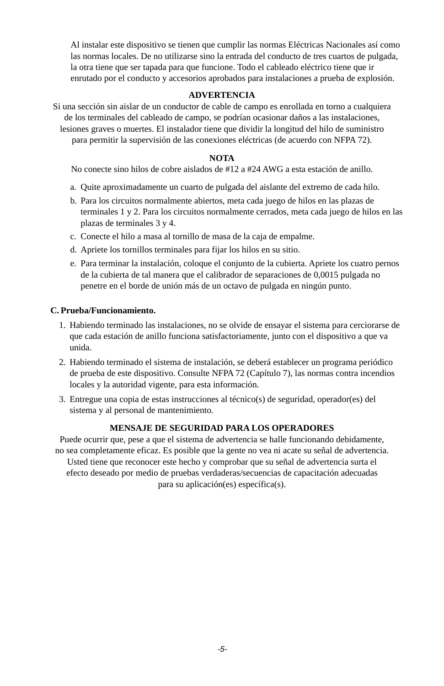Al instalar este dispositivo se tienen que cumplir las normas Eléctricas Nacionales así como las normas locales. De no utilizarse sino la entrada del conducto de tres cuartos de pulgada, la otra tiene que ser tapada para que funcione. Todo el cableado eléctrico tiene que ir enrutado por el conducto y accesorios aprobados para instalaciones a prueba de explosión.

## **ADVERTENCIA**

Si una sección sin aislar de un conductor de cable de campo es enrollada en torno a cualquiera de los terminales del cableado de campo, se podrían ocasionar daños a las instalaciones, lesiones graves o muertes. El instalador tiene que dividir la longitud del hilo de suministro

para permitir la supervisión de las conexiones eléctricas (de acuerdo con NFPA 72).

#### **NOTA**

No conecte sino hilos de cobre aislados de #12 a #24 AWG a esta estación de anillo.

- a. Quite aproximadamente un cuarto de pulgada del aislante del extremo de cada hilo.
- b. Para los circuitos normalmente abiertos, meta cada juego de hilos en las plazas de terminales 1 y 2. Para los circuitos normalmente cerrados, meta cada juego de hilos en las plazas de terminales 3 y 4.
- c. Conecte el hilo a masa al tornillo de masa de la caja de empalme.
- d. Apriete los tornillos terminales para fijar los hilos en su sitio.
- e. Para terminar la instalación, coloque el conjunto de la cubierta. Apriete los cuatro pernos de la cubierta de tal manera que el calibrador de separaciones de 0,0015 pulgada no penetre en el borde de unión más de un octavo de pulgada en ningún punto.

#### **C. Prueba/Funcionamiento.**

- 1. Habiendo terminado las instalaciones, no se olvide de ensayar el sistema para cerciorarse de que cada estación de anillo funciona satisfactoriamente, junto con el dispositivo a que va unida.
- 2. Habiendo terminado el sistema de instalación, se deberá establecer un programa periódico de prueba de este dispositivo. Consulte NFPA 72 (Capítulo 7), las normas contra incendios locales y la autoridad vigente, para esta información.
- 3. Entregue una copia de estas instrucciones al técnico(s) de seguridad, operador(es) del sistema y al personal de mantenimiento.

## **MENSAJE DE SEGURIDAD PARA LOS OPERADORES**

Puede ocurrir que, pese a que el sistema de advertencia se halle funcionando debidamente, no sea completamente eficaz. Es posible que la gente no vea ni acate su señal de advertencia. Usted tiene que reconocer este hecho y comprobar que su señal de advertencia surta el efecto deseado por medio de pruebas verdaderas/secuencias de capacitación adecuadas

para su aplicación(es) específica(s).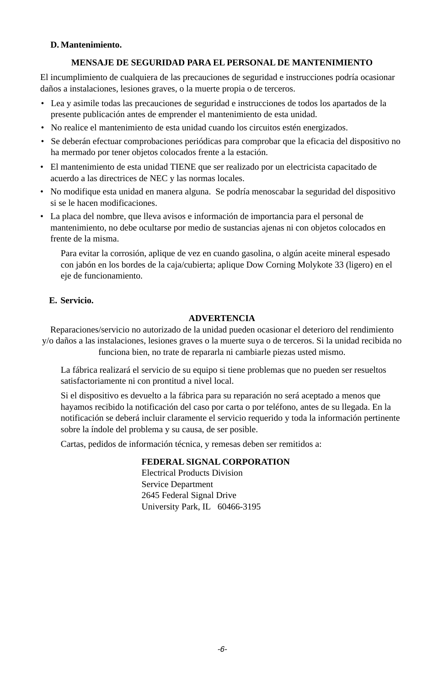## **D. Mantenimiento.**

## **MENSAJE DE SEGURIDAD PARA EL PERSONAL DE MANTENIMIENTO**

El incumplimiento de cualquiera de las precauciones de seguridad e instrucciones podría ocasionar daños a instalaciones, lesiones graves, o la muerte propia o de terceros.

- Lea y asimile todas las precauciones de seguridad e instrucciones de todos los apartados de la presente publicación antes de emprender el mantenimiento de esta unidad.
- No realice el mantenimiento de esta unidad cuando los circuitos estén energizados.
- Se deberán efectuar comprobaciones periódicas para comprobar que la eficacia del dispositivo no ha mermado por tener objetos colocados frente a la estación.
- El mantenimiento de esta unidad TIENE que ser realizado por un electricista capacitado de acuerdo a las directrices de NEC y las normas locales.
- No modifique esta unidad en manera alguna. Se podría menoscabar la seguridad del dispositivo si se le hacen modificaciones.
- La placa del nombre, que lleva avisos e información de importancia para el personal de mantenimiento, no debe ocultarse por medio de sustancias ajenas ni con objetos colocados en frente de la misma.

Para evitar la corrosión, aplique de vez en cuando gasolina, o algún aceite mineral espesado con jabón en los bordes de la caja/cubierta; aplique Dow Corning Molykote 33 (ligero) en el eje de funcionamiento.

## **E. Servicio.**

## **ADVERTENCIA**

Reparaciones/servicio no autorizado de la unidad pueden ocasionar el deterioro del rendimiento y/o daños a las instalaciones, lesiones graves o la muerte suya o de terceros. Si la unidad recibida no funciona bien, no trate de repararla ni cambiarle piezas usted mismo.

La fábrica realizará el servicio de su equipo si tiene problemas que no pueden ser resueltos satisfactoriamente ni con prontitud a nivel local.

Si el dispositivo es devuelto a la fábrica para su reparación no será aceptado a menos que hayamos recibido la notificación del caso por carta o por teléfono, antes de su llegada. En la notificación se deberá incluir claramente el servicio requerido y toda la información pertinente sobre la índole del problema y su causa, de ser posible.

Cartas, pedidos de información técnica, y remesas deben ser remitidos a:

#### **FEDERAL SIGNAL CORPORATION**

Electrical Products Division Service Department 2645 Federal Signal Drive University Park, IL 60466-3195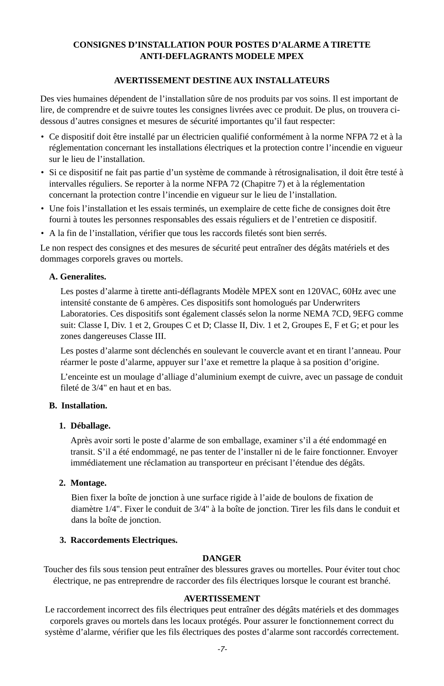## **CONSIGNES D'INSTALLATION POUR POSTES D'ALARME A TIRETTE ANTI-DEFLAGRANTS MODELE MPEX**

## **AVERTISSEMENT DESTINE AUX INSTALLATEURS**

Des vies humaines dépendent de l'installation sûre de nos produits par vos soins. Il est important de lire, de comprendre et de suivre toutes les consignes livrées avec ce produit. De plus, on trouvera cidessous d'autres consignes et mesures de sécurité importantes qu'il faut respecter:

- Ce dispositif doit être installé par un électricien qualifié conformément à la norme NFPA 72 et à la réglementation concernant les installations électriques et la protection contre l'incendie en vigueur sur le lieu de l'installation.
- Si ce dispositif ne fait pas partie d'un système de commande à rétrosignalisation, il doit être testé à intervalles réguliers. Se reporter à la norme NFPA 72 (Chapitre 7) et à la réglementation concernant la protection contre l'incendie en vigueur sur le lieu de l'installation.
- Une fois l'installation et les essais terminés, un exemplaire de cette fiche de consignes doit être fourni à toutes les personnes responsables des essais réguliers et de l'entretien ce dispositif.
- A la fin de l'installation, vérifier que tous les raccords filetés sont bien serrés.

Le non respect des consignes et des mesures de sécurité peut entraîner des dégâts matériels et des dommages corporels graves ou mortels.

## **A. Generalites.**

Les postes d'alarme à tirette anti-déflagrants Modèle MPEX sont en 120VAC, 60Hz avec une intensité constante de 6 ampères. Ces dispositifs sont homologués par Underwriters Laboratories. Ces dispositifs sont également classés selon la norme NEMA 7CD, 9EFG comme suit: Classe I, Div. 1 et 2, Groupes C et D; Classe II, Div. 1 et 2, Groupes E, F et G; et pour les zones dangereuses Classe III.

Les postes d'alarme sont déclenchés en soulevant le couvercle avant et en tirant l'anneau. Pour réarmer le poste d'alarme, appuyer sur l'axe et remettre la plaque à sa position d'origine.

L'enceinte est un moulage d'alliage d'aluminium exempt de cuivre, avec un passage de conduit fileté de 3/4" en haut et en bas.

#### **B. Installation.**

#### **1. Déballage.**

Après avoir sorti le poste d'alarme de son emballage, examiner s'il a été endommagé en transit. S'il a été endommagé, ne pas tenter de l'installer ni de le faire fonctionner. Envoyer immédiatement une réclamation au transporteur en précisant l'étendue des dégâts.

#### **2. Montage.**

Bien fixer la boîte de jonction à une surface rigide à l'aide de boulons de fixation de diamètre 1/4". Fixer le conduit de 3/4" à la boîte de jonction. Tirer les fils dans le conduit et dans la boîte de jonction.

## **3. Raccordements Electriques.**

## **DANGER**

Toucher des fils sous tension peut entraîner des blessures graves ou mortelles. Pour éviter tout choc électrique, ne pas entreprendre de raccorder des fils électriques lorsque le courant est branché.

#### **AVERTISSEMENT**

Le raccordement incorrect des fils électriques peut entraîner des dégâts matériels et des dommages corporels graves ou mortels dans les locaux protégés. Pour assurer le fonctionnement correct du système d'alarme, vérifier que les fils électriques des postes d'alarme sont raccordés correctement.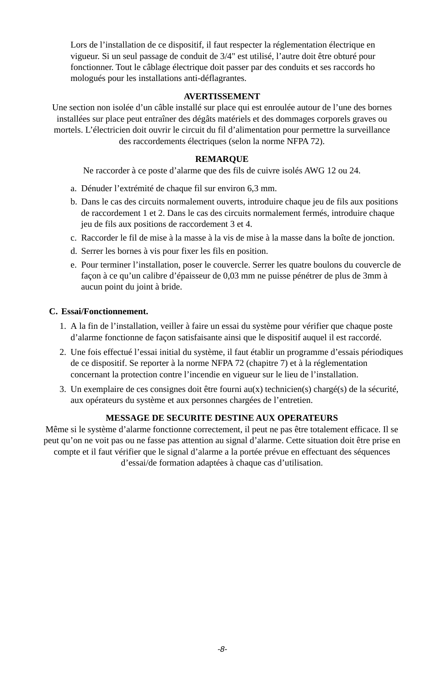Lors de l'installation de ce dispositif, il faut respecter la réglementation électrique en vigueur. Si un seul passage de conduit de 3/4" est utilisé, l'autre doit être obturé pour fonctionner. Tout le câblage électrique doit passer par des conduits et ses raccords ho mologués pour les installations anti-déflagrantes.

## **AVERTISSEMENT**

Une section non isolée d'un câble installé sur place qui est enroulée autour de l'une des bornes installées sur place peut entraîner des dégâts matériels et des dommages corporels graves ou mortels. L'électricien doit ouvrir le circuit du fil d'alimentation pour permettre la surveillance des raccordements électriques (selon la norme NFPA 72).

## **REMARQUE**

Ne raccorder à ce poste d'alarme que des fils de cuivre isolés AWG 12 ou 24.

- a. Dénuder l'extrémité de chaque fil sur environ 6,3 mm.
- b. Dans le cas des circuits normalement ouverts, introduire chaque jeu de fils aux positions de raccordement 1 et 2. Dans le cas des circuits normalement fermés, introduire chaque jeu de fils aux positions de raccordement 3 et 4.
- c. Raccorder le fil de mise à la masse à la vis de mise à la masse dans la boîte de jonction.
- d. Serrer les bornes à vis pour fixer les fils en position.
- e. Pour terminer l'installation, poser le couvercle. Serrer les quatre boulons du couvercle de façon à ce qu'un calibre d'épaisseur de 0,03 mm ne puisse pénétrer de plus de 3mm à aucun point du joint à bride.

## **C. Essai/Fonctionnement.**

- 1. A la fin de l'installation, veiller à faire un essai du système pour vérifier que chaque poste d'alarme fonctionne de façon satisfaisante ainsi que le dispositif auquel il est raccordé.
- 2. Une fois effectué l'essai initial du système, il faut établir un programme d'essais périodiques de ce dispositif. Se reporter à la norme NFPA 72 (chapitre 7) et à la réglementation concernant la protection contre l'incendie en vigueur sur le lieu de l'installation.
- 3. Un exemplaire de ces consignes doit être fourni au(x) technicien(s) chargé(s) de la sécurité, aux opérateurs du système et aux personnes chargées de l'entretien.

## **MESSAGE DE SECURITE DESTINE AUX OPERATEURS**

Même si le système d'alarme fonctionne correctement, il peut ne pas être totalement efficace. Il se peut qu'on ne voit pas ou ne fasse pas attention au signal d'alarme. Cette situation doit être prise en compte et il faut vérifier que le signal d'alarme a la portée prévue en effectuant des séquences d'essai/de formation adaptées à chaque cas d'utilisation.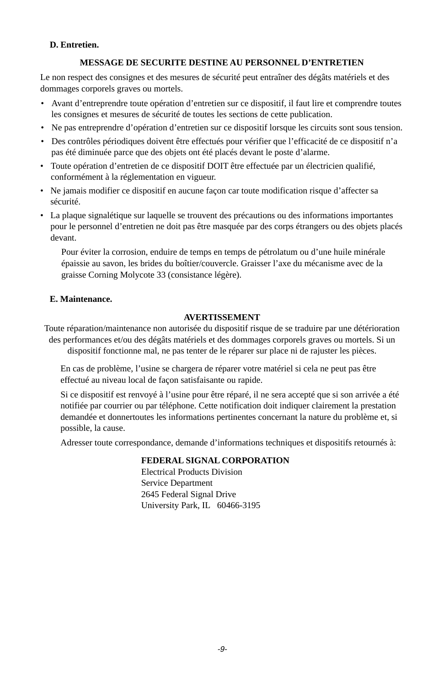## **D. Entretien.**

## **MESSAGE DE SECURITE DESTINE AU PERSONNEL D'ENTRETIEN**

Le non respect des consignes et des mesures de sécurité peut entraîner des dégâts matériels et des dommages corporels graves ou mortels.

- Avant d'entreprendre toute opération d'entretien sur ce dispositif, il faut lire et comprendre toutes les consignes et mesures de sécurité de toutes les sections de cette publication.
- Ne pas entreprendre d'opération d'entretien sur ce dispositif lorsque les circuits sont sous tension.
- Des contrôles périodiques doivent être effectués pour vérifier que l'efficacité de ce dispositif n'a pas été diminuée parce que des objets ont été placés devant le poste d'alarme.
- Toute opération d'entretien de ce dispositif DOIT être effectuée par un électricien qualifié, conformément à la réglementation en vigueur.
- Ne jamais modifier ce dispositif en aucune façon car toute modification risque d'affecter sa sécurité.
- La plaque signalétique sur laquelle se trouvent des précautions ou des informations importantes pour le personnel d'entretien ne doit pas être masquée par des corps étrangers ou des objets placés devant.

Pour éviter la corrosion, enduire de temps en temps de pétrolatum ou d'une huile minérale épaissie au savon, les brides du boîtier/couvercle. Graisser l'axe du mécanisme avec de la graisse Corning Molycote 33 (consistance légère).

## **E. Maintenance.**

## **AVERTISSEMENT**

Toute réparation/maintenance non autorisée du dispositif risque de se traduire par une détérioration des performances et/ou des dégâts matériels et des dommages corporels graves ou mortels. Si un

dispositif fonctionne mal, ne pas tenter de le réparer sur place ni de rajuster les pièces.

En cas de problème, l'usine se chargera de réparer votre matériel si cela ne peut pas être effectué au niveau local de façon satisfaisante ou rapide.

Si ce dispositif est renvoyé à l'usine pour être réparé, il ne sera accepté que si son arrivée a été notifiée par courrier ou par téléphone. Cette notification doit indiquer clairement la prestation demandée et donnertoutes les informations pertinentes concernant la nature du problème et, si possible, la cause.

Adresser toute correspondance, demande d'informations techniques et dispositifs retournés à:

#### **FEDERAL SIGNAL CORPORATION**

Electrical Products Division Service Department 2645 Federal Signal Drive University Park, IL 60466-3195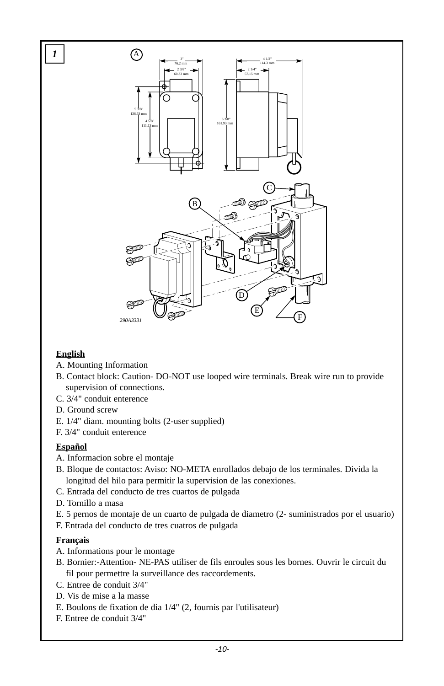

# **English**

- A. Mounting Information
- B. Contact block: Caution- DO-NOT use looped wire terminals. Break wire run to provide supervision of connections.
- C. 3/4" conduit enterence
- D. Ground screw
- E. 1/4" diam. mounting bolts (2-user supplied)
- F. 3/4" conduit enterence

## **Español**

- A. Informacion sobre el montaje
- B. Bloque de contactos: Aviso: NO-META enrollados debajo de los terminales. Divida la longitud del hilo para permitir la supervision de las conexiones.
- C. Entrada del conducto de tres cuartos de pulgada
- D. Tornillo a masa
- E. 5 pernos de montaje de un cuarto de pulgada de diametro (2- suministrados por el usuario)
- F. Entrada del conducto de tres cuatros de pulgada

# **Français**

- A. Informations pour le montage
- B. Bornier:-Attention- NE-PAS utiliser de fils enroules sous les bornes. Ouvrir le circuit du fil pour permettre la surveillance des raccordements.
- C. Entree de conduit 3/4"
- D. Vis de mise a la masse
- E. Boulons de fixation de dia 1/4" (2, fournis par l'utilisateur)
- F. Entree de conduit 3/4"